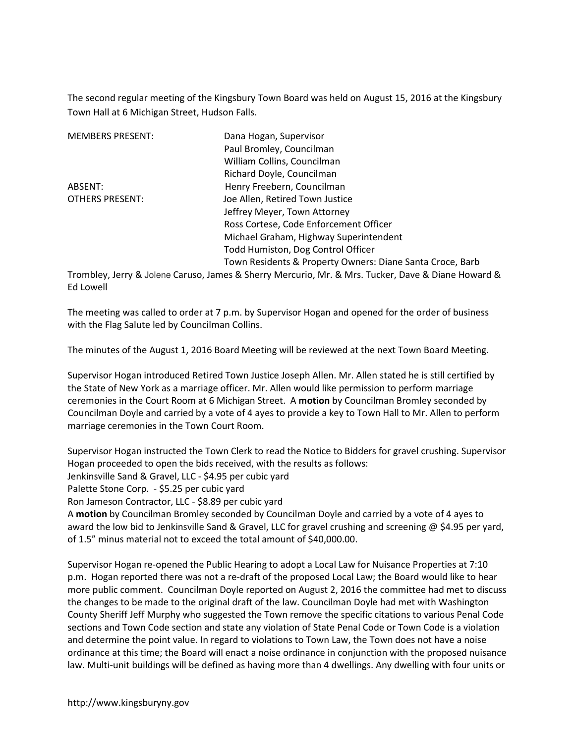The second regular meeting of the Kingsbury Town Board was held on August 15, 2016 at the Kingsbury Town Hall at 6 Michigan Street, Hudson Falls.

| <b>MEMBERS PRESENT:</b> | Dana Hogan, Supervisor                                                                                  |  |  |
|-------------------------|---------------------------------------------------------------------------------------------------------|--|--|
|                         | Paul Bromley, Councilman                                                                                |  |  |
|                         | William Collins, Councilman                                                                             |  |  |
|                         | Richard Doyle, Councilman                                                                               |  |  |
| ABSENT:                 | Henry Freebern, Councilman                                                                              |  |  |
| <b>OTHERS PRESENT:</b>  | Joe Allen, Retired Town Justice                                                                         |  |  |
|                         | Jeffrey Meyer, Town Attorney                                                                            |  |  |
|                         | Ross Cortese, Code Enforcement Officer                                                                  |  |  |
|                         | Michael Graham, Highway Superintendent                                                                  |  |  |
|                         | Todd Humiston, Dog Control Officer                                                                      |  |  |
|                         | Town Residents & Property Owners: Diane Santa Croce, Barb                                               |  |  |
|                         | Trombley, Jarry 8, Jolana Caruco, James 8, Sharry Marcurio, Mr. 8, Mrs. Tucker, Dave 8, Diano Howard 8, |  |  |

Trombley, Jerry & Jolene Caruso, James & Sherry Mercurio, Mr. & Mrs. Tucker, Dave & Diane Howard & Ed Lowell

The meeting was called to order at 7 p.m. by Supervisor Hogan and opened for the order of business with the Flag Salute led by Councilman Collins.

The minutes of the August 1, 2016 Board Meeting will be reviewed at the next Town Board Meeting.

Supervisor Hogan introduced Retired Town Justice Joseph Allen. Mr. Allen stated he is still certified by the State of New York as a marriage officer. Mr. Allen would like permission to perform marriage ceremonies in the Court Room at 6 Michigan Street. A **motion** by Councilman Bromley seconded by Councilman Doyle and carried by a vote of 4 ayes to provide a key to Town Hall to Mr. Allen to perform marriage ceremonies in the Town Court Room.

Supervisor Hogan instructed the Town Clerk to read the Notice to Bidders for gravel crushing. Supervisor Hogan proceeded to open the bids received, with the results as follows: Jenkinsville Sand & Gravel, LLC - \$4.95 per cubic yard Palette Stone Corp. - \$5.25 per cubic yard Ron Jameson Contractor, LLC - \$8.89 per cubic yard A **motion** by Councilman Bromley seconded by Councilman Doyle and carried by a vote of 4 ayes to award the low bid to Jenkinsville Sand & Gravel, LLC for gravel crushing and screening @ \$4.95 per yard, of 1.5" minus material not to exceed the total amount of \$40,000.00.

Supervisor Hogan re-opened the Public Hearing to adopt a Local Law for Nuisance Properties at 7:10 p.m. Hogan reported there was not a re-draft of the proposed Local Law; the Board would like to hear more public comment. Councilman Doyle reported on August 2, 2016 the committee had met to discuss the changes to be made to the original draft of the law. Councilman Doyle had met with Washington County Sheriff Jeff Murphy who suggested the Town remove the specific citations to various Penal Code sections and Town Code section and state any violation of State Penal Code or Town Code is a violation and determine the point value. In regard to violations to Town Law, the Town does not have a noise ordinance at this time; the Board will enact a noise ordinance in conjunction with the proposed nuisance law. Multi-unit buildings will be defined as having more than 4 dwellings. Any dwelling with four units or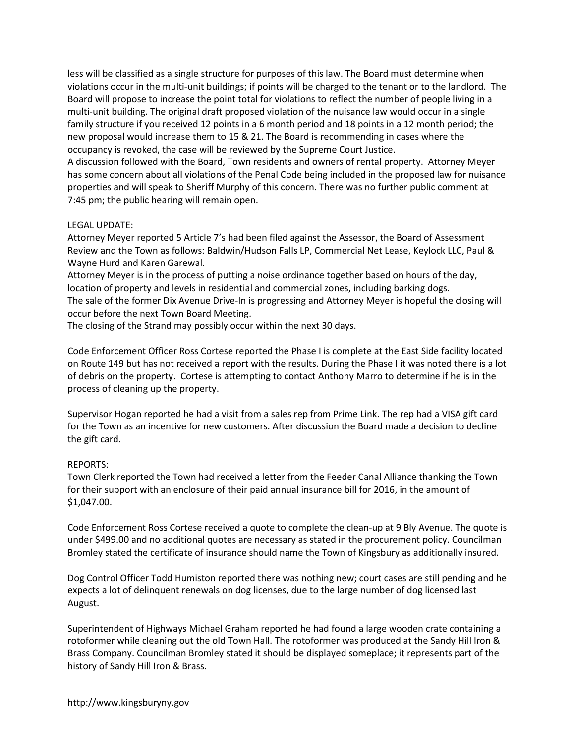less will be classified as a single structure for purposes of this law. The Board must determine when violations occur in the multi-unit buildings; if points will be charged to the tenant or to the landlord. The Board will propose to increase the point total for violations to reflect the number of people living in a multi-unit building. The original draft proposed violation of the nuisance law would occur in a single family structure if you received 12 points in a 6 month period and 18 points in a 12 month period; the new proposal would increase them to 15 & 21. The Board is recommending in cases where the occupancy is revoked, the case will be reviewed by the Supreme Court Justice.

A discussion followed with the Board, Town residents and owners of rental property. Attorney Meyer has some concern about all violations of the Penal Code being included in the proposed law for nuisance properties and will speak to Sheriff Murphy of this concern. There was no further public comment at 7:45 pm; the public hearing will remain open.

## LEGAL UPDATE:

Attorney Meyer reported 5 Article 7's had been filed against the Assessor, the Board of Assessment Review and the Town as follows: Baldwin/Hudson Falls LP, Commercial Net Lease, Keylock LLC, Paul & Wayne Hurd and Karen Garewal.

Attorney Meyer is in the process of putting a noise ordinance together based on hours of the day, location of property and levels in residential and commercial zones, including barking dogs.

The sale of the former Dix Avenue Drive-In is progressing and Attorney Meyer is hopeful the closing will occur before the next Town Board Meeting.

The closing of the Strand may possibly occur within the next 30 days.

Code Enforcement Officer Ross Cortese reported the Phase I is complete at the East Side facility located on Route 149 but has not received a report with the results. During the Phase I it was noted there is a lot of debris on the property. Cortese is attempting to contact Anthony Marro to determine if he is in the process of cleaning up the property.

Supervisor Hogan reported he had a visit from a sales rep from Prime Link. The rep had a VISA gift card for the Town as an incentive for new customers. After discussion the Board made a decision to decline the gift card.

## REPORTS:

Town Clerk reported the Town had received a letter from the Feeder Canal Alliance thanking the Town for their support with an enclosure of their paid annual insurance bill for 2016, in the amount of \$1,047.00.

Code Enforcement Ross Cortese received a quote to complete the clean-up at 9 Bly Avenue. The quote is under \$499.00 and no additional quotes are necessary as stated in the procurement policy. Councilman Bromley stated the certificate of insurance should name the Town of Kingsbury as additionally insured.

Dog Control Officer Todd Humiston reported there was nothing new; court cases are still pending and he expects a lot of delinquent renewals on dog licenses, due to the large number of dog licensed last August.

Superintendent of Highways Michael Graham reported he had found a large wooden crate containing a rotoformer while cleaning out the old Town Hall. The rotoformer was produced at the Sandy Hill lron & Brass Company. Councilman Bromley stated it should be displayed someplace; it represents part of the history of Sandy Hill Iron & Brass.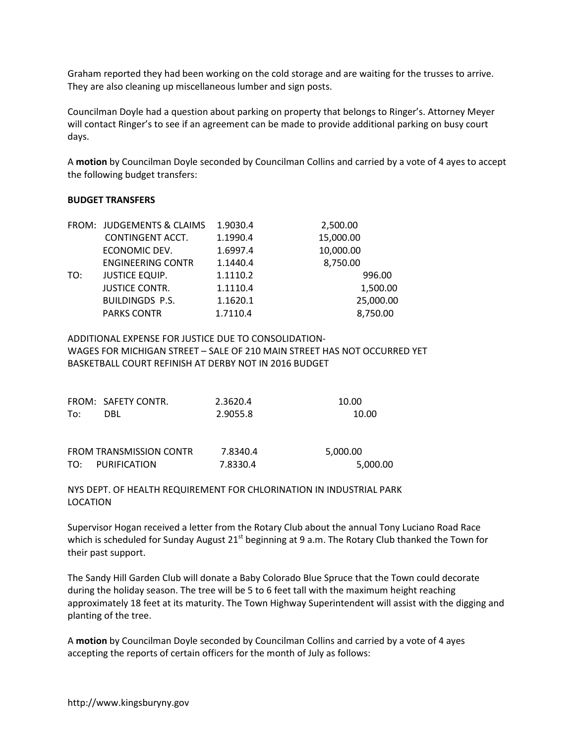Graham reported they had been working on the cold storage and are waiting for the trusses to arrive. They are also cleaning up miscellaneous lumber and sign posts.

Councilman Doyle had a question about parking on property that belongs to Ringer's. Attorney Meyer will contact Ringer's to see if an agreement can be made to provide additional parking on busy court days.

A **motion** by Councilman Doyle seconded by Councilman Collins and carried by a vote of 4 ayes to accept the following budget transfers:

## **BUDGET TRANSFERS**

|     | FROM: JUDGEMENTS & CLAIMS | 1.9030.4 | 2,500.00  |
|-----|---------------------------|----------|-----------|
|     | CONTINGENT ACCT.          | 1.1990.4 | 15,000.00 |
|     | ECONOMIC DEV.             | 1.6997.4 | 10,000.00 |
|     | <b>ENGINEERING CONTR</b>  | 1.1440.4 | 8,750.00  |
| TO: | <b>JUSTICE EQUIP.</b>     | 1.1110.2 | 996.00    |
|     | <b>JUSTICE CONTR.</b>     | 1.1110.4 | 1,500.00  |
|     | <b>BUILDINGDS P.S.</b>    | 1.1620.1 | 25,000.00 |
|     | <b>PARKS CONTR</b>        | 1.7110.4 | 8,750.00  |
|     |                           |          |           |

ADDITIONAL EXPENSE FOR JUSTICE DUE TO CONSOLIDATION-WAGES FOR MICHIGAN STREET – SALE OF 210 MAIN STREET HAS NOT OCCURRED YET BASKETBALL COURT REFINISH AT DERBY NOT IN 2016 BUDGET

|     | FROM: SAFETY CONTR.            | 2.3620.4 | 10.00    |
|-----|--------------------------------|----------|----------|
| To: | DBL                            | 2.9055.8 | 10.00    |
|     |                                |          |          |
|     | <b>FROM TRANSMISSION CONTR</b> | 7.8340.4 | 5,000.00 |
|     | TO: PURIFICATION               | 7.8330.4 | 5,000.00 |

NYS DEPT. OF HEALTH REQUIREMENT FOR CHLORINATION IN INDUSTRIAL PARK LOCATION

Supervisor Hogan received a letter from the Rotary Club about the annual Tony Luciano Road Race which is scheduled for Sunday August 21<sup>st</sup> beginning at 9 a.m. The Rotary Club thanked the Town for their past support.

The Sandy Hill Garden Club will donate a Baby Colorado Blue Spruce that the Town could decorate during the holiday season. The tree will be 5 to 6 feet tall with the maximum height reaching approximately 18 feet at its maturity. The Town Highway Superintendent will assist with the digging and planting of the tree.

A **motion** by Councilman Doyle seconded by Councilman Collins and carried by a vote of 4 ayes accepting the reports of certain officers for the month of July as follows: